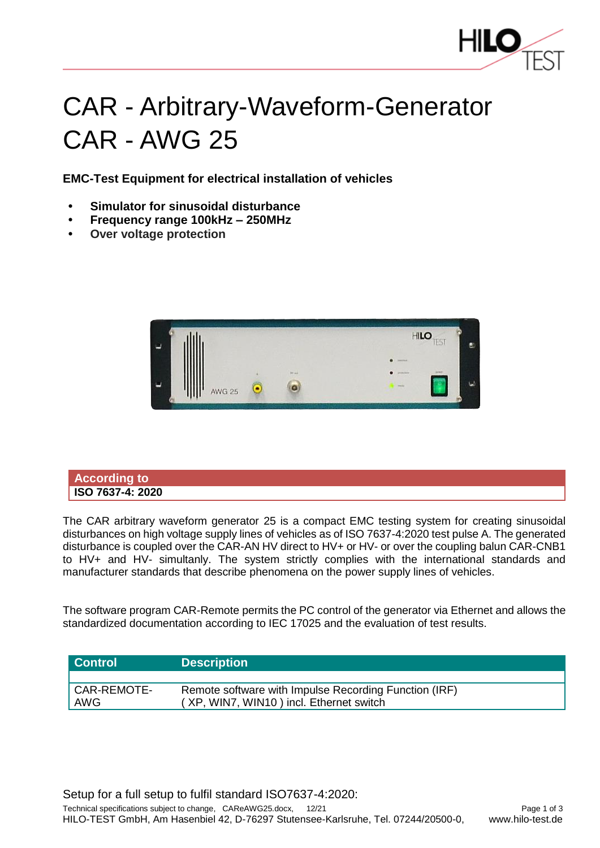

## CAR - Arbitrary-Waveform-Generator CAR - AWG 25

**EMC-Test Equipment for electrical installation of vehicles**

- **• Simulator for sinusoidal disturbance**
- **• Frequency range 100kHz – 250MHz**
- **• Over voltage protection**



**According to ISO 7637-4: 2020**

The CAR arbitrary waveform generator 25 is a compact EMC testing system for creating sinusoidal disturbances on high voltage supply lines of vehicles as of ISO 7637-4:2020 test pulse A. The generated disturbance is coupled over the CAR-AN HV direct to HV+ or HV- or over the coupling balun CAR-CNB1 to HV+ and HV- simultanly. The system strictly complies with the international standards and manufacturer standards that describe phenomena on the power supply lines of vehicles.

The software program CAR-Remote permits the PC control of the generator via Ethernet and allows the standardized documentation according to IEC 17025 and the evaluation of test results.

| <b>Control</b>     | <b>Description</b>                                                                               |
|--------------------|--------------------------------------------------------------------------------------------------|
|                    |                                                                                                  |
| CAR-REMOTE-<br>AWG | Remote software with Impulse Recording Function (IRF)<br>(XP, WIN7, WIN10) incl. Ethernet switch |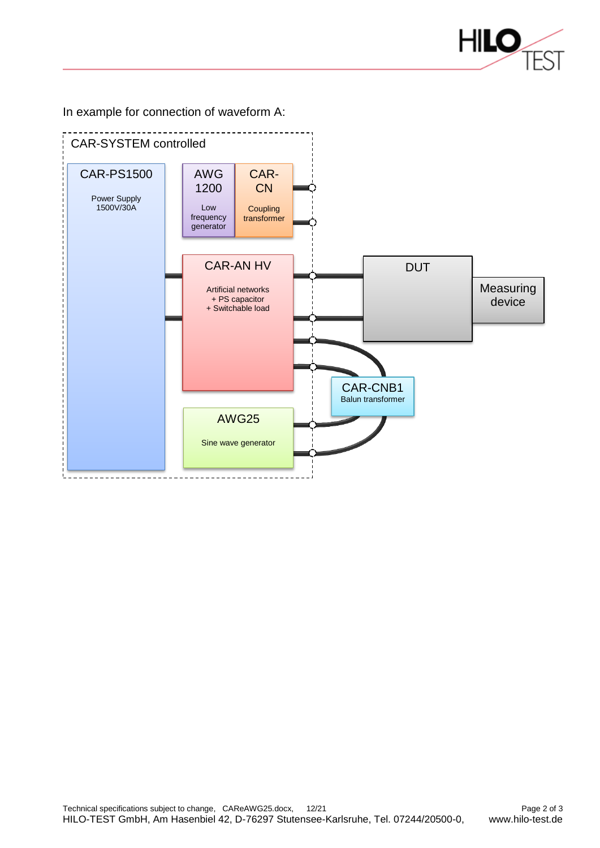

In example for connection of waveform A: